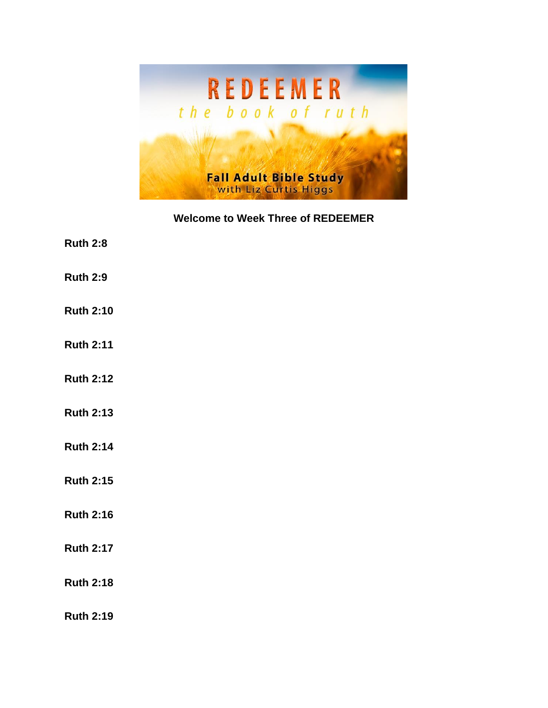

**Welcome to Week Three of REDEEMER**

- **Ruth 2:8**
- **Ruth 2:9**
- **Ruth 2:10**
- **Ruth 2:11**
- **Ruth 2:12**
- **Ruth 2:13**
- **Ruth 2:14**
- **Ruth 2:15**
- **Ruth 2:16**
- **Ruth 2:17**
- **Ruth 2:18**

**Ruth 2:19**